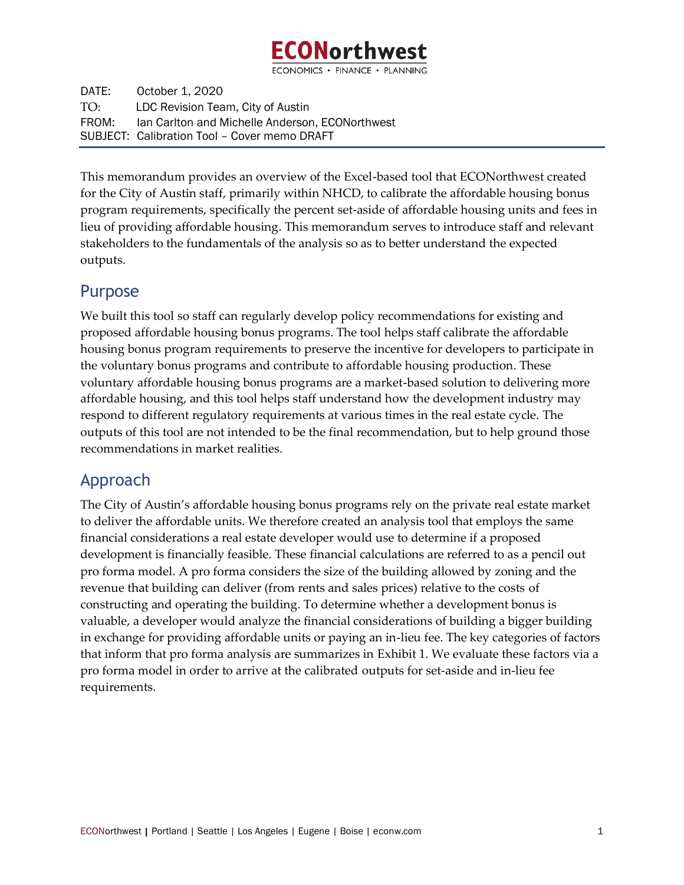

ECONOMICS · FINANCE · PLANNING

DATE: October 1, 2020 TO: LDC Revision Team, City of Austin FROM: Ian Carlton and Michelle Anderson, ECONorthwest SUBJECT: Calibration Tool – Cover memo DRAFT

This memorandum provides an overview of the Excel-based tool that ECONorthwest created for the City of Austin staff, primarily within NHCD, to calibrate the affordable housing bonus program requirements, specifically the percent set-aside of affordable housing units and fees in lieu of providing affordable housing. This memorandum serves to introduce staff and relevant stakeholders to the fundamentals of the analysis so as to better understand the expected outputs.

## Purpose

We built this tool so staff can regularly develop policy recommendations for existing and proposed affordable housing bonus programs. The tool helps staff calibrate the affordable housing bonus program requirements to preserve the incentive for developers to participate in the voluntary bonus programs and contribute to affordable housing production. These voluntary affordable housing bonus programs are a market-based solution to delivering more affordable housing, and this tool helps staff understand how the development industry may respond to different regulatory requirements at various times in the real estate cycle. The outputs of this tool are not intended to be the final recommendation, but to help ground those recommendations in market realities.

## Approach

The City of Austin's affordable housing bonus programs rely on the private real estate market to deliver the affordable units. We therefore created an analysis tool that employs the same financial considerations a real estate developer would use to determine if a proposed development is financially feasible. These financial calculations are referred to as a pencil out pro forma model. A pro forma considers the size of the building allowed by zoning and the revenue that building can deliver (from rents and sales prices) relative to the costs of constructing and operating the building. To determine whether a development bonus is valuable, a developer would analyze the financial considerations of building a bigger building in exchange for providing affordable units or paying an in-lieu fee. The key categories of factors that inform that pro forma analysis are summarizes in [Exhibit 1.](#page-1-0) We evaluate these factors via a pro forma model in order to arrive at the calibrated outputs for set-aside and in-lieu fee requirements.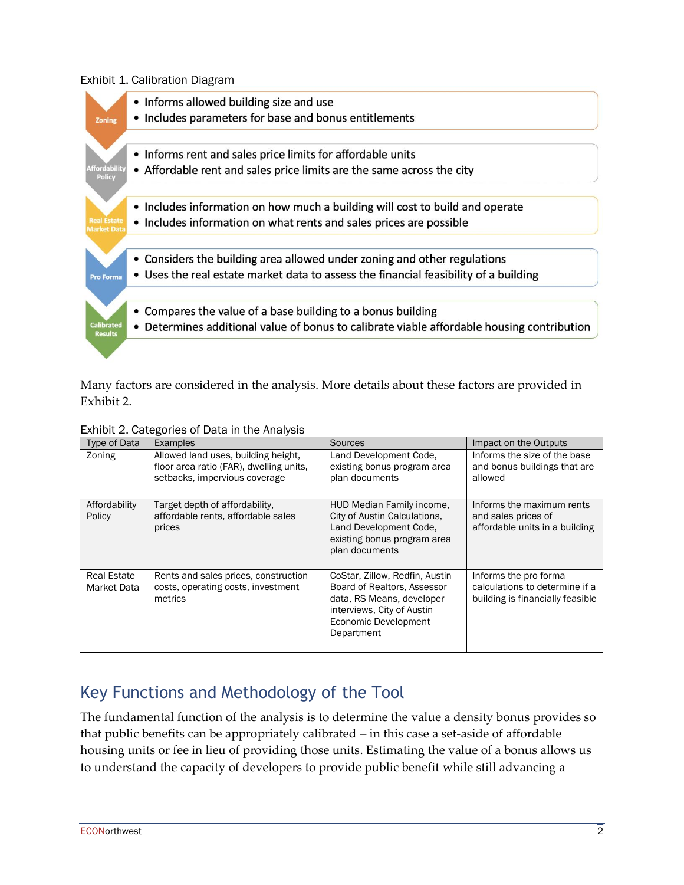<span id="page-1-0"></span>



Many factors are considered in the analysis. More details about these factors are provided in [Exhibit 2.](#page-1-1)

<span id="page-1-1"></span>Exhibit 2. Categories of Data in the Analysis

| Type of Data                      | <b>Examples</b>                                                                                                 | <b>Sources</b>                                                                                                                                                 | Impact on the Outputs                                                                       |
|-----------------------------------|-----------------------------------------------------------------------------------------------------------------|----------------------------------------------------------------------------------------------------------------------------------------------------------------|---------------------------------------------------------------------------------------------|
| Zoning                            | Allowed land uses, building height,<br>floor area ratio (FAR), dwelling units,<br>setbacks, impervious coverage | Land Development Code,<br>existing bonus program area<br>plan documents                                                                                        | Informs the size of the base<br>and bonus buildings that are<br>allowed                     |
| Affordability<br>Policy           | Target depth of affordability.<br>affordable rents, affordable sales<br>prices                                  | HUD Median Family income,<br>City of Austin Calculations.<br>Land Development Code,<br>existing bonus program area<br>plan documents                           | Informs the maximum rents<br>and sales prices of<br>affordable units in a building          |
| <b>Real Estate</b><br>Market Data | Rents and sales prices, construction<br>costs, operating costs, investment<br>metrics                           | CoStar, Zillow, Redfin, Austin<br>Board of Realtors, Assessor<br>data, RS Means, developer<br>interviews, City of Austin<br>Economic Development<br>Department | Informs the pro forma<br>calculations to determine if a<br>building is financially feasible |

## Key Functions and Methodology of the Tool

The fundamental function of the analysis is to determine the value a density bonus provides so that public benefits can be appropriately calibrated – in this case a set-aside of affordable housing units or fee in lieu of providing those units. Estimating the value of a bonus allows us to understand the capacity of developers to provide public benefit while still advancing a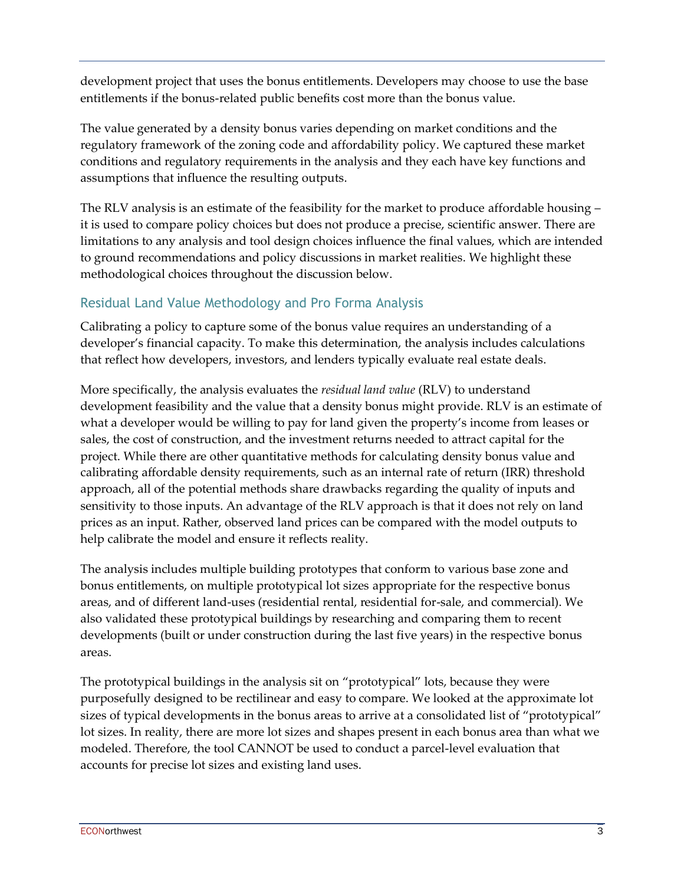development project that uses the bonus entitlements. Developers may choose to use the base entitlements if the bonus-related public benefits cost more than the bonus value.

The value generated by a density bonus varies depending on market conditions and the regulatory framework of the zoning code and affordability policy. We captured these market conditions and regulatory requirements in the analysis and they each have key functions and assumptions that influence the resulting outputs.

The RLV analysis is an estimate of the feasibility for the market to produce affordable housing – it is used to compare policy choices but does not produce a precise, scientific answer. There are limitations to any analysis and tool design choices influence the final values, which are intended to ground recommendations and policy discussions in market realities. We highlight these methodological choices throughout the discussion below.

## Residual Land Value Methodology and Pro Forma Analysis

Calibrating a policy to capture some of the bonus value requires an understanding of a developer's financial capacity. To make this determination, the analysis includes calculations that reflect how developers, investors, and lenders typically evaluate real estate deals.

More specifically, the analysis evaluates the *residual land value* (RLV) to understand development feasibility and the value that a density bonus might provide. RLV is an estimate of what a developer would be willing to pay for land given the property's income from leases or sales, the cost of construction, and the investment returns needed to attract capital for the project. While there are other quantitative methods for calculating density bonus value and calibrating affordable density requirements, such as an internal rate of return (IRR) threshold approach, all of the potential methods share drawbacks regarding the quality of inputs and sensitivity to those inputs. An advantage of the RLV approach is that it does not rely on land prices as an input. Rather, observed land prices can be compared with the model outputs to help calibrate the model and ensure it reflects reality.

The analysis includes multiple building prototypes that conform to various base zone and bonus entitlements, on multiple prototypical lot sizes appropriate for the respective bonus areas, and of different land-uses (residential rental, residential for-sale, and commercial). We also validated these prototypical buildings by researching and comparing them to recent developments (built or under construction during the last five years) in the respective bonus areas.

The prototypical buildings in the analysis sit on "prototypical" lots, because they were purposefully designed to be rectilinear and easy to compare. We looked at the approximate lot sizes of typical developments in the bonus areas to arrive at a consolidated list of "prototypical" lot sizes. In reality, there are more lot sizes and shapes present in each bonus area than what we modeled. Therefore, the tool CANNOT be used to conduct a parcel-level evaluation that accounts for precise lot sizes and existing land uses.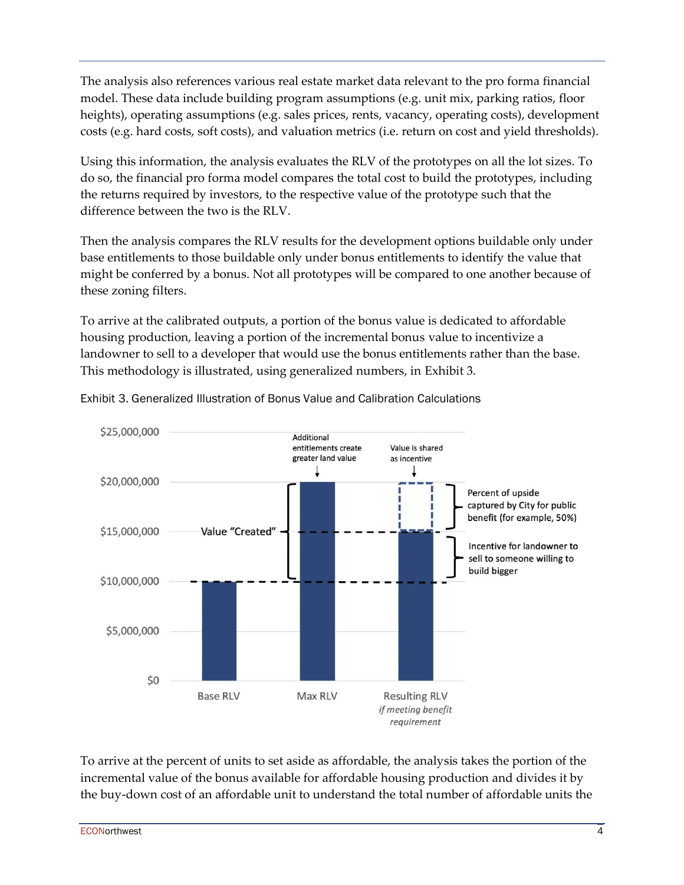The analysis also references various real estate market data relevant to the pro forma financial model. These data include building program assumptions (e.g. unit mix, parking ratios, floor heights), operating assumptions (e.g. sales prices, rents, vacancy, operating costs), development costs (e.g. hard costs, soft costs), and valuation metrics (i.e. return on cost and yield thresholds).

Using this information, the analysis evaluates the RLV of the prototypes on all the lot sizes. To do so, the financial pro forma model compares the total cost to build the prototypes, including the returns required by investors, to the respective value of the prototype such that the difference between the two is the RLV.

Then the analysis compares the RLV results for the development options buildable only under base entitlements to those buildable only under bonus entitlements to identify the value that might be conferred by a bonus. Not all prototypes will be compared to one another because of these zoning filters.

To arrive at the calibrated outputs, a portion of the bonus value is dedicated to affordable housing production, leaving a portion of the incremental bonus value to incentivize a landowner to sell to a developer that would use the bonus entitlements rather than the base. This methodology is illustrated, using generalized numbers, in [Exhibit 3.](#page-3-0)



<span id="page-3-0"></span>Exhibit 3. Generalized Illustration of Bonus Value and Calibration Calculations

To arrive at the percent of units to set aside as affordable, the analysis takes the portion of the incremental value of the bonus available for affordable housing production and divides it by the buy-down cost of an affordable unit to understand the total number of affordable units the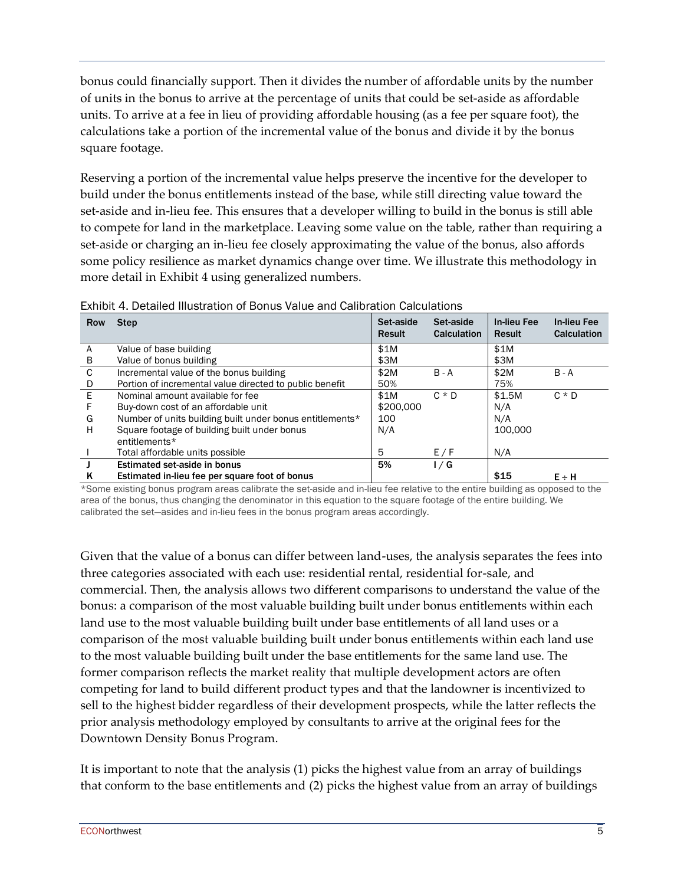bonus could financially support. Then it divides the number of affordable units by the number of units in the bonus to arrive at the percentage of units that could be set-aside as affordable units. To arrive at a fee in lieu of providing affordable housing (as a fee per square foot), the calculations take a portion of the incremental value of the bonus and divide it by the bonus square footage.

Reserving a portion of the incremental value helps preserve the incentive for the developer to build under the bonus entitlements instead of the base, while still directing value toward the set-aside and in-lieu fee. This ensures that a developer willing to build in the bonus is still able to compete for land in the marketplace. Leaving some value on the table, rather than requiring a set-aside or charging an in-lieu fee closely approximating the value of the bonus, also affords some policy resilience as market dynamics change over time. We illustrate this methodology in more detail in [Exhibit 4](#page-4-0) using generalized numbers.

| Row | <b>Step</b>                                              | Set-aside<br><b>Result</b> | Set-aside<br>Calculation | In-lieu Fee<br>Result | <b>In-lieu Fee</b><br>Calculation |
|-----|----------------------------------------------------------|----------------------------|--------------------------|-----------------------|-----------------------------------|
| A   | Value of base building                                   | \$1M                       |                          | \$1M                  |                                   |
| В   | Value of bonus building                                  | \$3M                       |                          | \$3M                  |                                   |
| C   | Incremental value of the bonus building                  | \$2M                       | $B - A$                  | \$2M                  | $B - A$                           |
| D   | Portion of incremental value directed to public benefit  | 50%                        |                          | 75%                   |                                   |
| E   | Nominal amount available for fee                         | \$1M                       | $C * D$                  | \$1.5M                | $C * D$                           |
|     | Buy-down cost of an affordable unit                      | \$200,000                  |                          | N/A                   |                                   |
| G   | Number of units building built under bonus entitlements* | 100                        |                          | N/A                   |                                   |
| н   | Square footage of building built under bonus             | N/A                        |                          | 100,000               |                                   |
|     | entitlements*                                            |                            |                          |                       |                                   |
|     | Total affordable units possible                          | 5                          | E/F                      | N/A                   |                                   |
|     | Estimated set-aside in bonus                             | 5%                         | 1/G                      |                       |                                   |
| ĸ   | Estimated in-lieu fee per square foot of bonus           |                            |                          | \$15                  | $E \div H$                        |

<span id="page-4-0"></span>

| Exhibit 4. Detailed Illustration of Bonus Value and Calibration Calculations |  |  |  |
|------------------------------------------------------------------------------|--|--|--|
|                                                                              |  |  |  |

\*Some existing bonus program areas calibrate the set-aside and in-lieu fee relative to the entire building as opposed to the area of the bonus, thus changing the denominator in this equation to the square footage of the entire building. We calibrated the set—asides and in-lieu fees in the bonus program areas accordingly.

Given that the value of a bonus can differ between land-uses, the analysis separates the fees into three categories associated with each use: residential rental, residential for-sale, and commercial. Then, the analysis allows two different comparisons to understand the value of the bonus: a comparison of the most valuable building built under bonus entitlements within each land use to the most valuable building built under base entitlements of all land uses or a comparison of the most valuable building built under bonus entitlements within each land use to the most valuable building built under the base entitlements for the same land use. The former comparison reflects the market reality that multiple development actors are often competing for land to build different product types and that the landowner is incentivized to sell to the highest bidder regardless of their development prospects, while the latter reflects the prior analysis methodology employed by consultants to arrive at the original fees for the Downtown Density Bonus Program.

It is important to note that the analysis (1) picks the highest value from an array of buildings that conform to the base entitlements and (2) picks the highest value from an array of buildings